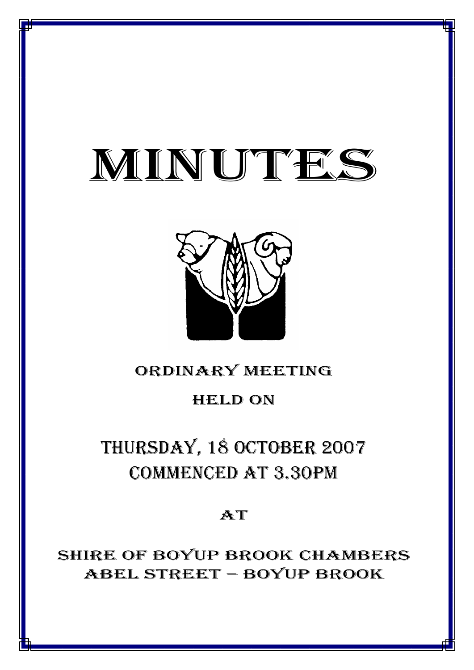# MINUTES

*MINUTES OF THE ORDINARY MEETING OF COUNCIL HELD ON 18 OCTOBER 2007*



## ORDINARY MEETING

## HELD ON

# THURSDAY, 18 OCTOBER 2007 COMMENCED AT 3.30PM

## AT

SHIRE OF BOYUP BROOK CHAMBERS ABEL STREET – BOYUP BROOK

<u>1940 - Johann Barbott, mars andrew for the state of the state of the state of the state of the state of the s</u>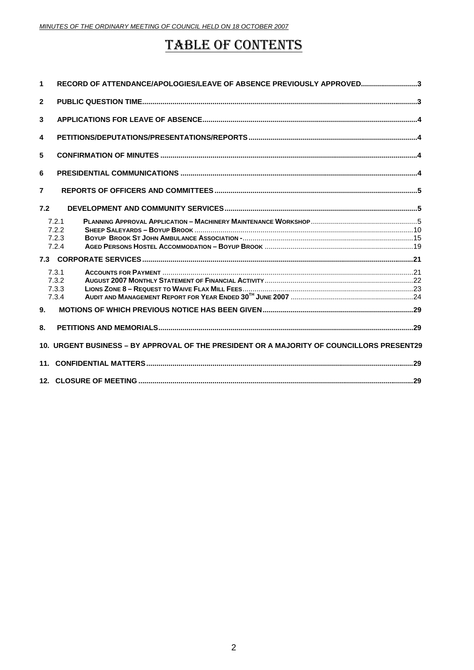## **TABLE OF CONTENTS**

| 1                                                                                         | RECORD OF ATTENDANCE/APOLOGIES/LEAVE OF ABSENCE PREVIOUSLY APPROVED3 |  |  |  |
|-------------------------------------------------------------------------------------------|----------------------------------------------------------------------|--|--|--|
| $\mathbf{2}$                                                                              |                                                                      |  |  |  |
| 3                                                                                         |                                                                      |  |  |  |
| 4                                                                                         |                                                                      |  |  |  |
| 5                                                                                         |                                                                      |  |  |  |
| 6                                                                                         |                                                                      |  |  |  |
| $\overline{7}$                                                                            |                                                                      |  |  |  |
| 7.2                                                                                       |                                                                      |  |  |  |
|                                                                                           | 7.2.1<br>7.2.2<br>7.2.3<br>7.2.4                                     |  |  |  |
|                                                                                           |                                                                      |  |  |  |
|                                                                                           | 7.3.1<br>7.3.2<br>7.3.3<br>7.3.4                                     |  |  |  |
| 9.                                                                                        |                                                                      |  |  |  |
| 8.                                                                                        |                                                                      |  |  |  |
| 10. URGENT BUSINESS - BY APPROVAL OF THE PRESIDENT OR A MAJORITY OF COUNCILLORS PRESENT29 |                                                                      |  |  |  |
| 11.                                                                                       |                                                                      |  |  |  |
|                                                                                           |                                                                      |  |  |  |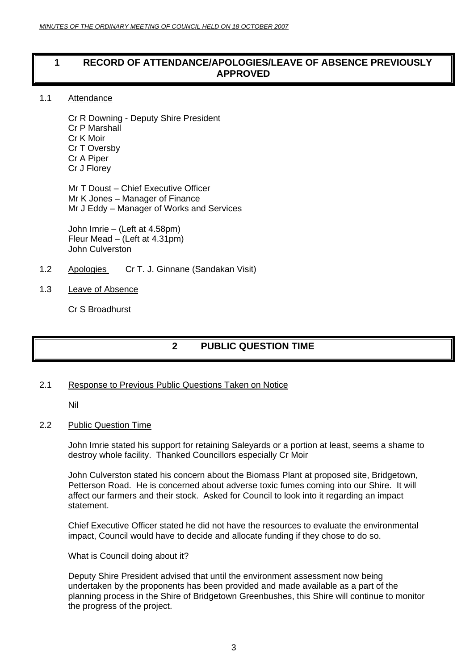#### <span id="page-2-0"></span>**1 RECORD OF ATTENDANCE/APOLOGIES/LEAVE OF ABSENCE PREVIOUSLY APPROVED**

#### 1.1 Attendance

Cr R Downing - Deputy Shire President Cr P Marshall Cr K Moir Cr T Oversby Cr A Piper Cr J Florey

Mr T Doust – Chief Executive Officer Mr K Jones – Manager of Finance Mr J Eddy – Manager of Works and Services

John Imrie – (Left at 4.58pm) Fleur Mead – (Left at 4.31pm) John Culverston

- 1.2 Apologies Cr T. J. Ginnane (Sandakan Visit)
- 1.3 Leave of Absence

Cr S Broadhurst

### **2 PUBLIC QUESTION TIME**

#### 2.1 Response to Previous Public Questions Taken on Notice

Nil

#### 2.2 Public Question Time

 John Imrie stated his support for retaining Saleyards or a portion at least, seems a shame to destroy whole facility. Thanked Councillors especially Cr Moir

John Culverston stated his concern about the Biomass Plant at proposed site, Bridgetown, Petterson Road. He is concerned about adverse toxic fumes coming into our Shire. It will affect our farmers and their stock. Asked for Council to look into it regarding an impact statement.

Chief Executive Officer stated he did not have the resources to evaluate the environmental impact, Council would have to decide and allocate funding if they chose to do so.

What is Council doing about it?

Deputy Shire President advised that until the environment assessment now being undertaken by the proponents has been provided and made available as a part of the planning process in the Shire of Bridgetown Greenbushes, this Shire will continue to monitor the progress of the project.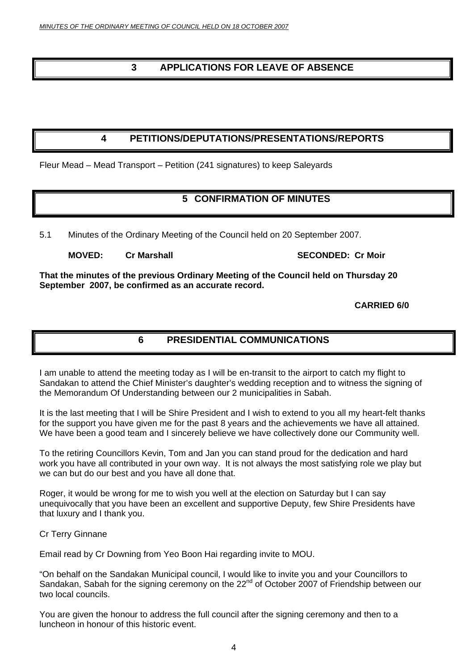#### <span id="page-3-0"></span>**3 APPLICATIONS FOR LEAVE OF ABSENCE**

## **4 PETITIONS/DEPUTATIONS/PRESENTATIONS/REPORTS**

Fleur Mead – Mead Transport – Petition (241 signatures) to keep Saleyards

### **5 CONFIRMATION OF MINUTES**

5.1 Minutes of the Ordinary Meeting of the Council held on 20 September 2007.

**MOVED:** Cr Marshall Cr Gr SECONDED: Cr Moir

**That the minutes of the previous Ordinary Meeting of the Council held on Thursday 20 September 2007, be confirmed as an accurate record.** 

 **CARRIED 6/0** 

#### **6 PRESIDENTIAL COMMUNICATIONS**

I am unable to attend the meeting today as I will be en-transit to the airport to catch my flight to Sandakan to attend the Chief Minister's daughter's wedding reception and to witness the signing of the Memorandum Of Understanding between our 2 municipalities in Sabah.

It is the last meeting that I will be Shire President and I wish to extend to you all my heart-felt thanks for the support you have given me for the past 8 years and the achievements we have all attained. We have been a good team and I sincerely believe we have collectively done our Community well.

To the retiring Councillors Kevin, Tom and Jan you can stand proud for the dedication and hard work you have all contributed in your own way. It is not always the most satisfying role we play but we can but do our best and you have all done that.

Roger, it would be wrong for me to wish you well at the election on Saturday but I can say unequivocally that you have been an excellent and supportive Deputy, few Shire Presidents have that luxury and I thank you.

Cr Terry Ginnane

Email read by Cr Downing from Yeo Boon Hai regarding invite to MOU.

"On behalf on the Sandakan Municipal council, I would like to invite you and your Councillors to Sandakan, Sabah for the signing ceremony on the 22<sup>nd</sup> of October 2007 of Friendship between our two local councils.

You are given the honour to address the full council after the signing ceremony and then to a luncheon in honour of this historic event.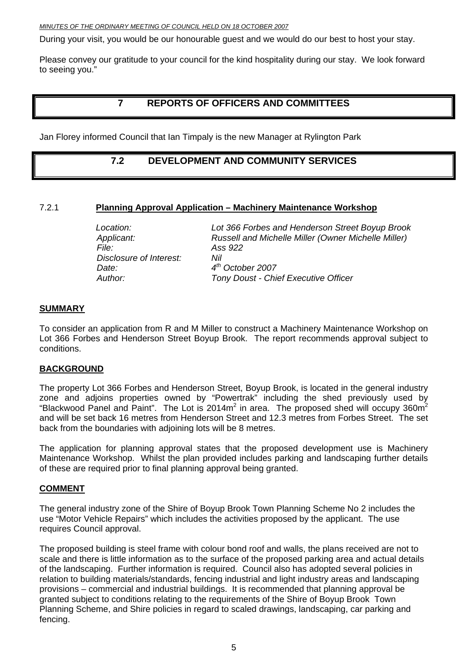<span id="page-4-0"></span>During your visit, you would be our honourable guest and we would do our best to host your stay.

Please convey our gratitude to your council for the kind hospitality during our stay. We look forward to seeing you."

#### **7 REPORTS OF OFFICERS AND COMMITTEES**

Jan Florey informed Council that Ian Timpaly is the new Manager at Rylington Park

#### **7.2 DEVELOPMENT AND COMMUNITY SERVICES**

#### 7.2.1 **Planning Approval Application – Machinery Maintenance Workshop**

| Location:               | Lot 366 Forbes and Henderson Street Boyup Brook     |
|-------------------------|-----------------------------------------------------|
| Applicant:              | Russell and Michelle Miller (Owner Michelle Miller) |
| File:                   | Ass 922                                             |
| Disclosure of Interest: | Nil                                                 |
| Date:                   | $4^{th}$ October 2007                               |
| Author:                 | <b>Tony Doust - Chief Executive Officer</b>         |

#### **SUMMARY**

To consider an application from R and M Miller to construct a Machinery Maintenance Workshop on Lot 366 Forbes and Henderson Street Boyup Brook. The report recommends approval subject to conditions.

#### **BACKGROUND**

The property Lot 366 Forbes and Henderson Street, Boyup Brook, is located in the general industry zone and adjoins properties owned by "Powertrak" including the shed previously used by "Blackwood Panel and Paint". The Lot is 2014m<sup>2</sup> in area. The proposed shed will occupy 360m<sup>2</sup> and will be set back 16 metres from Henderson Street and 12.3 metres from Forbes Street. The set back from the boundaries with adjoining lots will be 8 metres.

The application for planning approval states that the proposed development use is Machinery Maintenance Workshop. Whilst the plan provided includes parking and landscaping further details of these are required prior to final planning approval being granted.

#### **COMMENT**

The general industry zone of the Shire of Boyup Brook Town Planning Scheme No 2 includes the use "Motor Vehicle Repairs" which includes the activities proposed by the applicant. The use requires Council approval.

The proposed building is steel frame with colour bond roof and walls, the plans received are not to scale and there is little information as to the surface of the proposed parking area and actual details of the landscaping. Further information is required. Council also has adopted several policies in relation to building materials/standards, fencing industrial and light industry areas and landscaping provisions – commercial and industrial buildings. It is recommended that planning approval be granted subject to conditions relating to the requirements of the Shire of Boyup Brook Town Planning Scheme, and Shire policies in regard to scaled drawings, landscaping, car parking and fencing.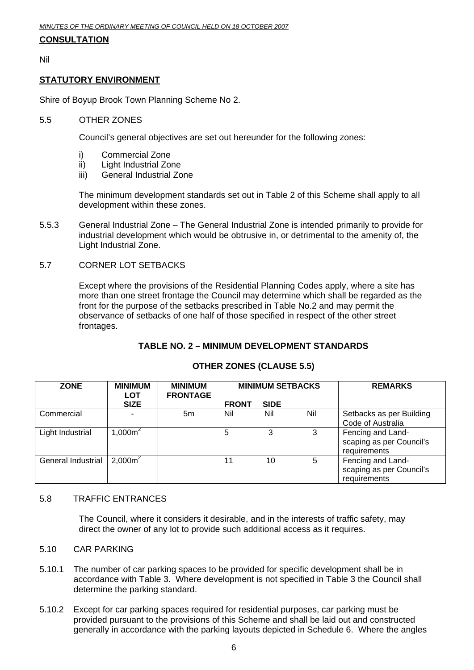#### **CONSULTATION**

Nil

#### **STATUTORY ENVIRONMENT**

Shire of Boyup Brook Town Planning Scheme No 2.

#### 5.5 OTHER ZONES

Council's general objectives are set out hereunder for the following zones:

- i) Commercial Zone
- ii) Light Industrial Zone
- iii) General Industrial Zone

The minimum development standards set out in Table 2 of this Scheme shall apply to all development within these zones.

- 5.5.3 General Industrial Zone The General Industrial Zone is intended primarily to provide for industrial development which would be obtrusive in, or detrimental to the amenity of, the Light Industrial Zone.
- 5.7 CORNER LOT SETBACKS

Except where the provisions of the Residential Planning Codes apply, where a site has more than one street frontage the Council may determine which shall be regarded as the front for the purpose of the setbacks prescribed in Table No.2 and may permit the observance of setbacks of one half of those specified in respect of the other street frontages.

#### **TABLE NO. 2 – MINIMUM DEVELOPMENT STANDARDS**

| <b>ZONE</b>        | <b>MINIMUM</b><br>LOT | <b>MINIMUM</b><br><b>FRONTAGE</b> | <b>MINIMUM SETBACKS</b> |             |     | <b>REMARKS</b>                                                |
|--------------------|-----------------------|-----------------------------------|-------------------------|-------------|-----|---------------------------------------------------------------|
|                    | <b>SIZE</b>           |                                   | <b>FRONT</b>            | <b>SIDE</b> |     |                                                               |
| Commercial         |                       | 5m                                | Nil                     | Nil         | Nil | Setbacks as per Building<br>Code of Australia                 |
| Light Industrial   | 1,000 $m^2$           |                                   | 5                       |             |     | Fencing and Land-<br>scaping as per Council's<br>requirements |
| General Industrial | $2,000m^2$            |                                   | 11                      | 10          | 5   | Fencing and Land-<br>scaping as per Council's<br>requirements |

#### **OTHER ZONES (CLAUSE 5.5)**

#### 5.8 TRAFFIC ENTRANCES

The Council, where it considers it desirable, and in the interests of traffic safety, may direct the owner of any lot to provide such additional access as it requires.

- 5.10 CAR PARKING
- 5.10.1 The number of car parking spaces to be provided for specific development shall be in accordance with Table 3. Where development is not specified in Table 3 the Council shall determine the parking standard.
- 5.10.2 Except for car parking spaces required for residential purposes, car parking must be provided pursuant to the provisions of this Scheme and shall be laid out and constructed generally in accordance with the parking layouts depicted in Schedule 6. Where the angles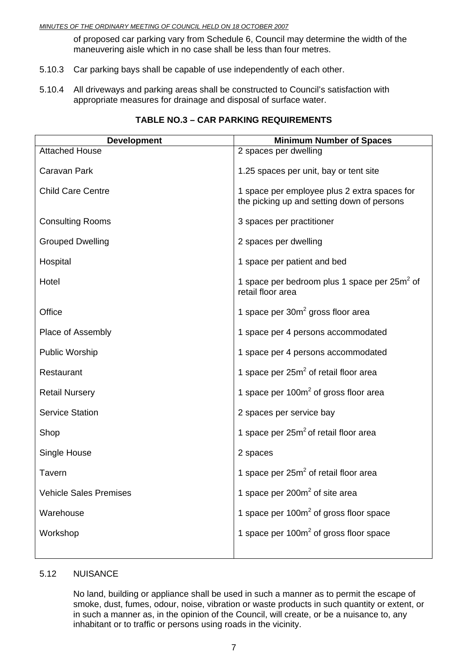of proposed car parking vary from Schedule 6, Council may determine the width of the maneuvering aisle which in no case shall be less than four metres.

- 5.10.3 Car parking bays shall be capable of use independently of each other.
- 5.10.4 All driveways and parking areas shall be constructed to Council's satisfaction with appropriate measures for drainage and disposal of surface water.

| <b>Development</b>            | <b>Minimum Number of Spaces</b>                                                            |
|-------------------------------|--------------------------------------------------------------------------------------------|
| <b>Attached House</b>         | 2 spaces per dwelling                                                                      |
| Caravan Park                  | 1.25 spaces per unit, bay or tent site                                                     |
| <b>Child Care Centre</b>      | 1 space per employee plus 2 extra spaces for<br>the picking up and setting down of persons |
| <b>Consulting Rooms</b>       | 3 spaces per practitioner                                                                  |
| <b>Grouped Dwelling</b>       | 2 spaces per dwelling                                                                      |
| Hospital                      | 1 space per patient and bed                                                                |
| Hotel                         | 1 space per bedroom plus 1 space per $25m^2$ of<br>retail floor area                       |
| Office                        | 1 space per 30m <sup>2</sup> gross floor area                                              |
| Place of Assembly             | 1 space per 4 persons accommodated                                                         |
| Public Worship                | 1 space per 4 persons accommodated                                                         |
| Restaurant                    | 1 space per $25m^2$ of retail floor area                                                   |
| <b>Retail Nursery</b>         | 1 space per $100m^2$ of gross floor area                                                   |
| <b>Service Station</b>        | 2 spaces per service bay                                                                   |
| Shop                          | 1 space per $25m^2$ of retail floor area                                                   |
| Single House                  | 2 spaces                                                                                   |
| <b>Tavern</b>                 | 1 space per 25m <sup>2</sup> of retail floor area                                          |
| <b>Vehicle Sales Premises</b> | 1 space per 200m <sup>2</sup> of site area                                                 |
| Warehouse                     | 1 space per $100m^2$ of gross floor space                                                  |
| Workshop                      | 1 space per $100m^2$ of gross floor space                                                  |
|                               |                                                                                            |

#### **TABLE NO.3 – CAR PARKING REQUIREMENTS**

#### 5.12 NUISANCE

No land, building or appliance shall be used in such a manner as to permit the escape of smoke, dust, fumes, odour, noise, vibration or waste products in such quantity or extent, or in such a manner as, in the opinion of the Council, will create, or be a nuisance to, any inhabitant or to traffic or persons using roads in the vicinity.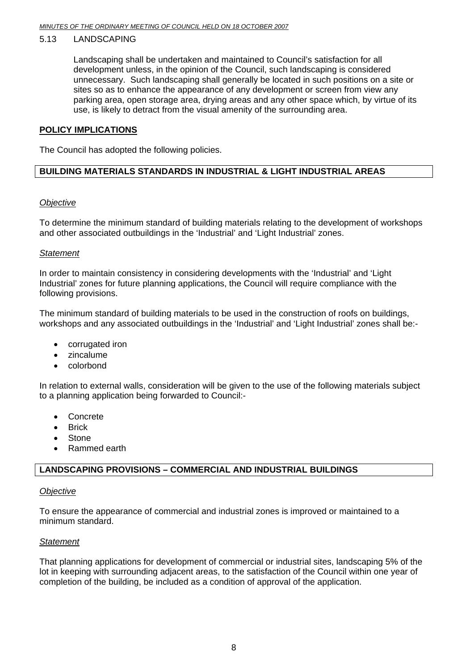#### 5.13 LANDSCAPING

Landscaping shall be undertaken and maintained to Council's satisfaction for all development unless, in the opinion of the Council, such landscaping is considered unnecessary. Such landscaping shall generally be located in such positions on a site or sites so as to enhance the appearance of any development or screen from view any parking area, open storage area, drying areas and any other space which, by virtue of its use, is likely to detract from the visual amenity of the surrounding area.

#### **POLICY IMPLICATIONS**

The Council has adopted the following policies.

#### **BUILDING MATERIALS STANDARDS IN INDUSTRIAL & LIGHT INDUSTRIAL AREAS**

#### *Objective*

To determine the minimum standard of building materials relating to the development of workshops and other associated outbuildings in the 'Industrial' and 'Light Industrial' zones.

#### *Statement*

In order to maintain consistency in considering developments with the 'Industrial' and 'Light Industrial' zones for future planning applications, the Council will require compliance with the following provisions.

The minimum standard of building materials to be used in the construction of roofs on buildings, workshops and any associated outbuildings in the 'Industrial' and 'Light Industrial' zones shall be:-

- corrugated iron
- zincalume
- colorbond

In relation to external walls, consideration will be given to the use of the following materials subject to a planning application being forwarded to Council:-

- Concrete
- Brick
- **Stone**
- Rammed earth

#### **LANDSCAPING PROVISIONS – COMMERCIAL AND INDUSTRIAL BUILDINGS**

#### *Objective*

To ensure the appearance of commercial and industrial zones is improved or maintained to a minimum standard.

#### *Statement*

That planning applications for development of commercial or industrial sites, landscaping 5% of the lot in keeping with surrounding adjacent areas, to the satisfaction of the Council within one year of completion of the building, be included as a condition of approval of the application.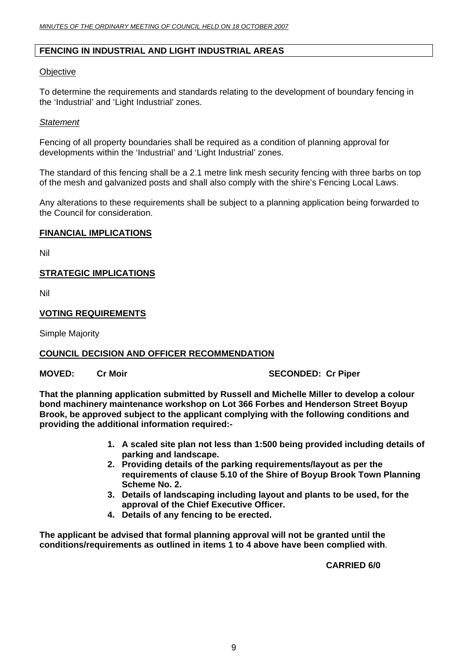#### **FENCING IN INDUSTRIAL AND LIGHT INDUSTRIAL AREAS**

#### **Objective**

To determine the requirements and standards relating to the development of boundary fencing in the 'Industrial' and 'Light Industrial' zones.

#### *Statement*

Fencing of all property boundaries shall be required as a condition of planning approval for developments within the 'Industrial' and 'Light Industrial' zones.

The standard of this fencing shall be a 2.1 metre link mesh security fencing with three barbs on top of the mesh and galvanized posts and shall also comply with the shire's Fencing Local Laws.

Any alterations to these requirements shall be subject to a planning application being forwarded to the Council for consideration.

#### **FINANCIAL IMPLICATIONS**

Nil

#### **STRATEGIC IMPLICATIONS**

Nil

#### **VOTING REQUIREMENTS**

Simple Majority

#### **COUNCIL DECISION AND OFFICER RECOMMENDATION**

#### **MOVED:** Cr Moir **SECONDED:** Cr Piper

**That the planning application submitted by Russell and Michelle Miller to develop a colour bond machinery maintenance workshop on Lot 366 Forbes and Henderson Street Boyup Brook, be approved subject to the applicant complying with the following conditions and providing the additional information required:-** 

- **1. A scaled site plan not less than 1:500 being provided including details of parking and landscape.**
- **2. Providing details of the parking requirements/layout as per the requirements of clause 5.10 of the Shire of Boyup Brook Town Planning Scheme No. 2.**
- **3. Details of landscaping including layout and plants to be used, for the approval of the Chief Executive Officer.**
- **4. Details of any fencing to be erected.**

**The applicant be advised that formal planning approval will not be granted until the conditions/requirements as outlined in items 1 to 4 above have been complied with**.

 **CARRIED 6/0**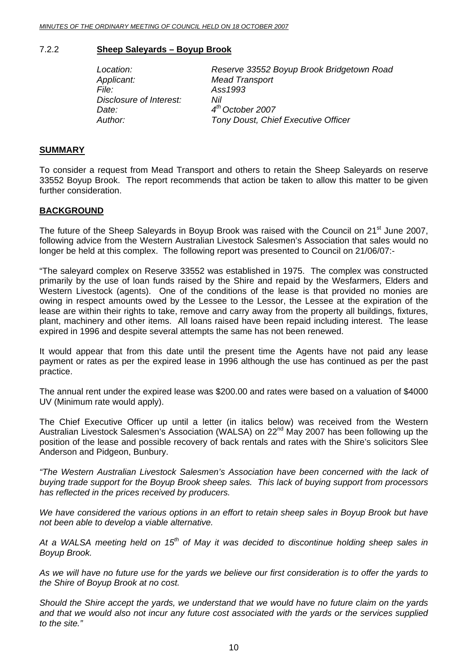#### <span id="page-9-0"></span>7.2.2 **Sheep Saleyards – Boyup Brook**

*Applicant: Mead Transport File: Ass1993 Disclosure of Interest: Nil Date: 4th October 2007* 

 *Location: Reserve 33552 Boyup Brook Bridgetown Road*  **Tony Doust, Chief Executive Officer** 

#### **SUMMARY**

To consider a request from Mead Transport and others to retain the Sheep Saleyards on reserve 33552 Boyup Brook. The report recommends that action be taken to allow this matter to be given further consideration.

#### **BACKGROUND**

The future of the Sheep Saleyards in Boyup Brook was raised with the Council on 21<sup>st</sup> June 2007, following advice from the Western Australian Livestock Salesmen's Association that sales would no longer be held at this complex. The following report was presented to Council on 21/06/07:-

"The saleyard complex on Reserve 33552 was established in 1975. The complex was constructed primarily by the use of loan funds raised by the Shire and repaid by the Wesfarmers, Elders and Western Livestock (agents). One of the conditions of the lease is that provided no monies are owing in respect amounts owed by the Lessee to the Lessor, the Lessee at the expiration of the lease are within their rights to take, remove and carry away from the property all buildings, fixtures, plant, machinery and other items. All loans raised have been repaid including interest. The lease expired in 1996 and despite several attempts the same has not been renewed.

It would appear that from this date until the present time the Agents have not paid any lease payment or rates as per the expired lease in 1996 although the use has continued as per the past practice.

The annual rent under the expired lease was \$200.00 and rates were based on a valuation of \$4000 UV (Minimum rate would apply).

The Chief Executive Officer up until a letter (in italics below) was received from the Western Australian Livestock Salesmen's Association (WALSA) on 22<sup>nd</sup> May 2007 has been following up the position of the lease and possible recovery of back rentals and rates with the Shire's solicitors Slee Anderson and Pidgeon, Bunbury.

*"The Western Australian Livestock Salesmen's Association have been concerned with the lack of buying trade support for the Boyup Brook sheep sales. This lack of buying support from processors has reflected in the prices received by producers.* 

*We have considered the various options in an effort to retain sheep sales in Boyup Brook but have not been able to develop a viable alternative.* 

*At a WALSA meeting held on 15th of May it was decided to discontinue holding sheep sales in Boyup Brook.* 

*As we will have no future use for the yards we believe our first consideration is to offer the yards to the Shire of Boyup Brook at no cost.* 

*Should the Shire accept the yards, we understand that we would have no future claim on the yards and that we would also not incur any future cost associated with the yards or the services supplied to the site."*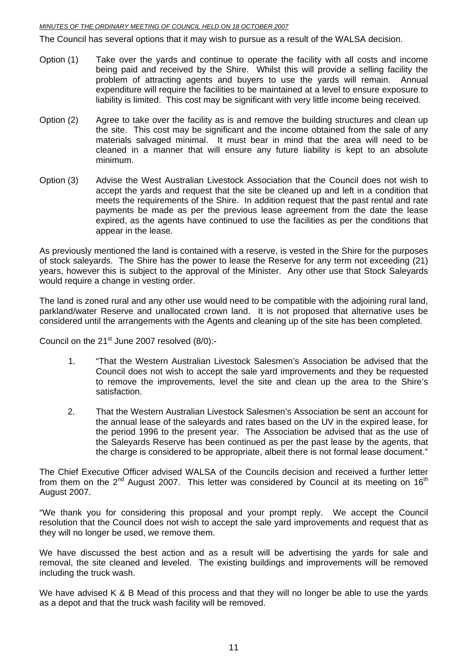The Council has several options that it may wish to pursue as a result of the WALSA decision.

- Option (1) Take over the yards and continue to operate the facility with all costs and income being paid and received by the Shire. Whilst this will provide a selling facility the problem of attracting agents and buyers to use the yards will remain. Annual expenditure will require the facilities to be maintained at a level to ensure exposure to liability is limited. This cost may be significant with very little income being received.
- Option (2) Agree to take over the facility as is and remove the building structures and clean up the site. This cost may be significant and the income obtained from the sale of any materials salvaged minimal. It must bear in mind that the area will need to be cleaned in a manner that will ensure any future liability is kept to an absolute minimum.
- Option (3) Advise the West Australian Livestock Association that the Council does not wish to accept the yards and request that the site be cleaned up and left in a condition that meets the requirements of the Shire. In addition request that the past rental and rate payments be made as per the previous lease agreement from the date the lease expired, as the agents have continued to use the facilities as per the conditions that appear in the lease.

As previously mentioned the land is contained with a reserve, is vested in the Shire for the purposes of stock saleyards. The Shire has the power to lease the Reserve for any term not exceeding (21) years, however this is subject to the approval of the Minister. Any other use that Stock Saleyards would require a change in vesting order.

The land is zoned rural and any other use would need to be compatible with the adjoining rural land, parkland/water Reserve and unallocated crown land. It is not proposed that alternative uses be considered until the arrangements with the Agents and cleaning up of the site has been completed.

Council on the  $21^{st}$  June 2007 resolved (8/0):-

- 1. "That the Western Australian Livestock Salesmen's Association be advised that the Council does not wish to accept the sale yard improvements and they be requested to remove the improvements, level the site and clean up the area to the Shire's satisfaction.
- 2. That the Western Australian Livestock Salesmen's Association be sent an account for the annual lease of the saleyards and rates based on the UV in the expired lease, for the period 1996 to the present year. The Association be advised that as the use of the Saleyards Reserve has been continued as per the past lease by the agents, that the charge is considered to be appropriate, albeit there is not formal lease document."

The Chief Executive Officer advised WALSA of the Councils decision and received a further letter from them on the  $2^{nd}$  August 2007. This letter was considered by Council at its meeting on 16<sup>th</sup> August 2007.

"We thank you for considering this proposal and your prompt reply. We accept the Council resolution that the Council does not wish to accept the sale yard improvements and request that as they will no longer be used, we remove them.

We have discussed the best action and as a result will be advertising the yards for sale and removal, the site cleaned and leveled. The existing buildings and improvements will be removed including the truck wash.

We have advised K & B Mead of this process and that they will no longer be able to use the yards as a depot and that the truck wash facility will be removed.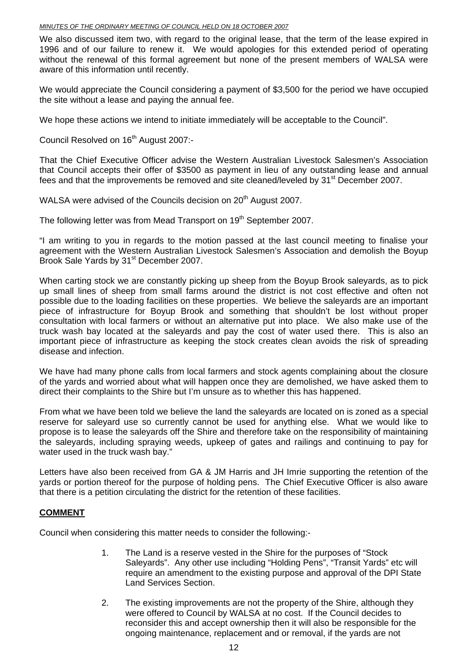We also discussed item two, with regard to the original lease, that the term of the lease expired in 1996 and of our failure to renew it. We would apologies for this extended period of operating without the renewal of this formal agreement but none of the present members of WALSA were aware of this information until recently.

We would appreciate the Council considering a payment of \$3,500 for the period we have occupied the site without a lease and paying the annual fee.

We hope these actions we intend to initiate immediately will be acceptable to the Council".

Council Resolved on 16<sup>th</sup> August 2007:-

That the Chief Executive Officer advise the Western Australian Livestock Salesmen's Association that Council accepts their offer of \$3500 as payment in lieu of any outstanding lease and annual fees and that the improvements be removed and site cleaned/leveled by 31<sup>st</sup> December 2007.

WALSA were advised of the Councils decision on 20<sup>th</sup> August 2007.

The following letter was from Mead Transport on 19<sup>th</sup> September 2007.

"I am writing to you in regards to the motion passed at the last council meeting to finalise your agreement with the Western Australian Livestock Salesmen's Association and demolish the Boyup Brook Sale Yards by 31<sup>st</sup> December 2007.

When carting stock we are constantly picking up sheep from the Boyup Brook saleyards, as to pick up small lines of sheep from small farms around the district is not cost effective and often not possible due to the loading facilities on these properties. We believe the saleyards are an important piece of infrastructure for Boyup Brook and something that shouldn't be lost without proper consultation with local farmers or without an alternative put into place. We also make use of the truck wash bay located at the saleyards and pay the cost of water used there. This is also an important piece of infrastructure as keeping the stock creates clean avoids the risk of spreading disease and infection.

We have had many phone calls from local farmers and stock agents complaining about the closure of the yards and worried about what will happen once they are demolished, we have asked them to direct their complaints to the Shire but I'm unsure as to whether this has happened.

From what we have been told we believe the land the saleyards are located on is zoned as a special reserve for saleyard use so currently cannot be used for anything else. What we would like to propose is to lease the saleyards off the Shire and therefore take on the responsibility of maintaining the saleyards, including spraying weeds, upkeep of gates and railings and continuing to pay for water used in the truck wash bay."

Letters have also been received from GA & JM Harris and JH Imrie supporting the retention of the yards or portion thereof for the purpose of holding pens. The Chief Executive Officer is also aware that there is a petition circulating the district for the retention of these facilities.

#### **COMMENT**

Council when considering this matter needs to consider the following:-

- 1. The Land is a reserve vested in the Shire for the purposes of "Stock Saleyards". Any other use including "Holding Pens", "Transit Yards" etc will require an amendment to the existing purpose and approval of the DPI State Land Services Section.
- 2. The existing improvements are not the property of the Shire, although they were offered to Council by WALSA at no cost. If the Council decides to reconsider this and accept ownership then it will also be responsible for the ongoing maintenance, replacement and or removal, if the yards are not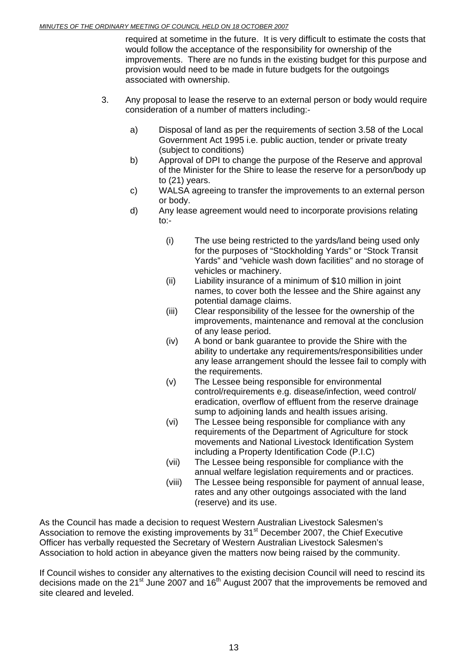required at sometime in the future. It is very difficult to estimate the costs that would follow the acceptance of the responsibility for ownership of the improvements. There are no funds in the existing budget for this purpose and provision would need to be made in future budgets for the outgoings associated with ownership.

- 3. Any proposal to lease the reserve to an external person or body would require consideration of a number of matters including:
	- a) Disposal of land as per the requirements of section 3.58 of the Local Government Act 1995 i.e. public auction, tender or private treaty (subject to conditions)
	- b) Approval of DPI to change the purpose of the Reserve and approval of the Minister for the Shire to lease the reserve for a person/body up to (21) years.
	- c) WALSA agreeing to transfer the improvements to an external person or body.
	- d) Any lease agreement would need to incorporate provisions relating to:-
		- (i) The use being restricted to the yards/land being used only for the purposes of "Stockholding Yards" or "Stock Transit Yards" and "vehicle wash down facilities" and no storage of vehicles or machinery.
		- (ii) Liability insurance of a minimum of \$10 million in joint names, to cover both the lessee and the Shire against any potential damage claims.
		- (iii) Clear responsibility of the lessee for the ownership of the improvements, maintenance and removal at the conclusion of any lease period.
		- (iv) A bond or bank guarantee to provide the Shire with the ability to undertake any requirements/responsibilities under any lease arrangement should the lessee fail to comply with the requirements.
		- (v) The Lessee being responsible for environmental control/requirements e.g. disease/infection, weed control/ eradication, overflow of effluent from the reserve drainage sump to adjoining lands and health issues arising.
		- (vi) The Lessee being responsible for compliance with any requirements of the Department of Agriculture for stock movements and National Livestock Identification System including a Property Identification Code (P.I.C)
		- (vii) The Lessee being responsible for compliance with the annual welfare legislation requirements and or practices.
		- (viii) The Lessee being responsible for payment of annual lease, rates and any other outgoings associated with the land (reserve) and its use.

As the Council has made a decision to request Western Australian Livestock Salesmen's Association to remove the existing improvements by 31<sup>st</sup> December 2007, the Chief Executive Officer has verbally requested the Secretary of Western Australian Livestock Salesmen's Association to hold action in abeyance given the matters now being raised by the community.

If Council wishes to consider any alternatives to the existing decision Council will need to rescind its decisions made on the 21<sup>st</sup> June 2007 and 16<sup>th</sup> August 2007 that the improvements be removed and site cleared and leveled.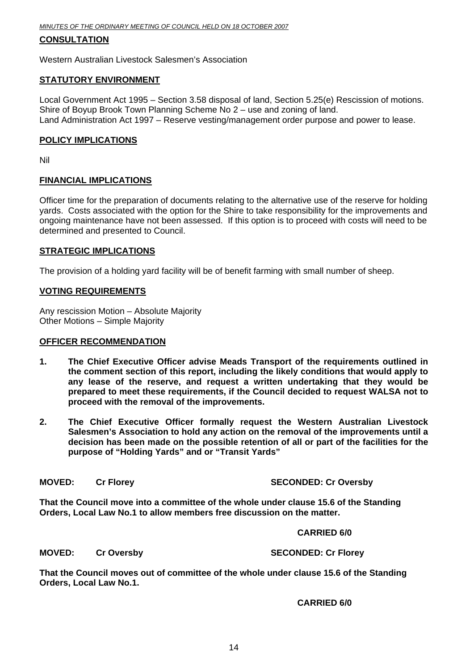#### **CONSULTATION**

Western Australian Livestock Salesmen's Association

#### **STATUTORY ENVIRONMENT**

Local Government Act 1995 – Section 3.58 disposal of land, Section 5.25(e) Rescission of motions. Shire of Boyup Brook Town Planning Scheme No 2 – use and zoning of land. Land Administration Act 1997 – Reserve vesting/management order purpose and power to lease.

#### **POLICY IMPLICATIONS**

Nil

#### **FINANCIAL IMPLICATIONS**

Officer time for the preparation of documents relating to the alternative use of the reserve for holding yards. Costs associated with the option for the Shire to take responsibility for the improvements and ongoing maintenance have not been assessed. If this option is to proceed with costs will need to be determined and presented to Council.

#### **STRATEGIC IMPLICATIONS**

The provision of a holding yard facility will be of benefit farming with small number of sheep.

#### **VOTING REQUIREMENTS**

Any rescission Motion – Absolute Majority Other Motions – Simple Majority

#### **OFFICER RECOMMENDATION**

- **1. The Chief Executive Officer advise Meads Transport of the requirements outlined in the comment section of this report, including the likely conditions that would apply to any lease of the reserve, and request a written undertaking that they would be prepared to meet these requirements, if the Council decided to request WALSA not to proceed with the removal of the improvements.**
- **2. The Chief Executive Officer formally request the Western Australian Livestock Salesmen's Association to hold any action on the removal of the improvements until a decision has been made on the possible retention of all or part of the facilities for the purpose of "Holding Yards" and or "Transit Yards"**

#### **MOVED:** Cr Florey **SECONDED:** Cr Oversby

**That the Council move into a committee of the whole under clause 15.6 of the Standing Orders, Local Law No.1 to allow members free discussion on the matter.** 

 **CARRIED 6/0** 

**MOVED:** Cr Oversby SECONDED: Cr Florey

**That the Council moves out of committee of the whole under clause 15.6 of the Standing Orders, Local Law No.1.** 

 **CARRIED 6/0**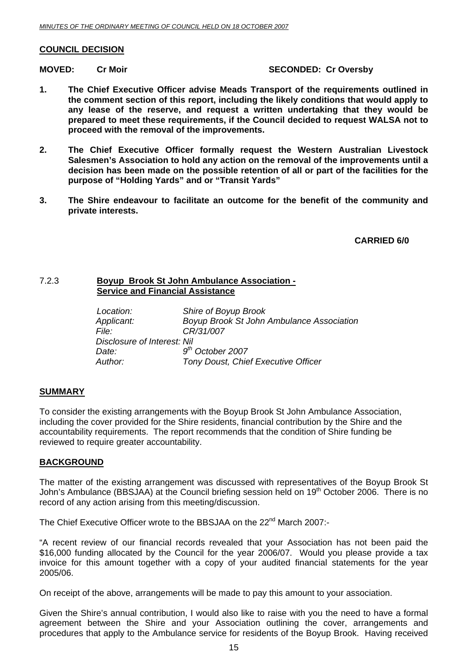#### <span id="page-14-0"></span>**COUNCIL DECISION**

#### **MOVED:** Cr Moir **SECONDED: Cr Oversby Cr Oversby**

- **1. The Chief Executive Officer advise Meads Transport of the requirements outlined in the comment section of this report, including the likely conditions that would apply to any lease of the reserve, and request a written undertaking that they would be prepared to meet these requirements, if the Council decided to request WALSA not to proceed with the removal of the improvements.**
- **2. The Chief Executive Officer formally request the Western Australian Livestock Salesmen's Association to hold any action on the removal of the improvements until a decision has been made on the possible retention of all or part of the facilities for the purpose of "Holding Yards" and or "Transit Yards"**
- **3. The Shire endeavour to facilitate an outcome for the benefit of the community and private interests.**

**CARRIED 6/0**

#### 7.2.3 **Boyup Brook St John Ambulance Association - Service and Financial Assistance**

| Location:                   | Shire of Boyup Brook                             |
|-----------------------------|--------------------------------------------------|
| Applicant:                  | <b>Boyup Brook St John Ambulance Association</b> |
| File:                       | CR/31/007                                        |
| Disclosure of Interest: Nil |                                                  |
| Date:                       | $9th$ October 2007                               |
| Author:                     | Tony Doust, Chief Executive Officer              |

#### **SUMMARY**

To consider the existing arrangements with the Boyup Brook St John Ambulance Association, including the cover provided for the Shire residents, financial contribution by the Shire and the accountability requirements. The report recommends that the condition of Shire funding be reviewed to require greater accountability.

#### **BACKGROUND**

The matter of the existing arrangement was discussed with representatives of the Boyup Brook St John's Ambulance (BBSJAA) at the Council briefing session held on 19<sup>th</sup> October 2006. There is no record of any action arising from this meeting/discussion.

The Chief Executive Officer wrote to the BBSJAA on the 22<sup>nd</sup> March 2007:-

"A recent review of our financial records revealed that your Association has not been paid the \$16,000 funding allocated by the Council for the year 2006/07. Would you please provide a tax invoice for this amount together with a copy of your audited financial statements for the year 2005/06.

On receipt of the above, arrangements will be made to pay this amount to your association.

Given the Shire's annual contribution, I would also like to raise with you the need to have a formal agreement between the Shire and your Association outlining the cover, arrangements and procedures that apply to the Ambulance service for residents of the Boyup Brook. Having received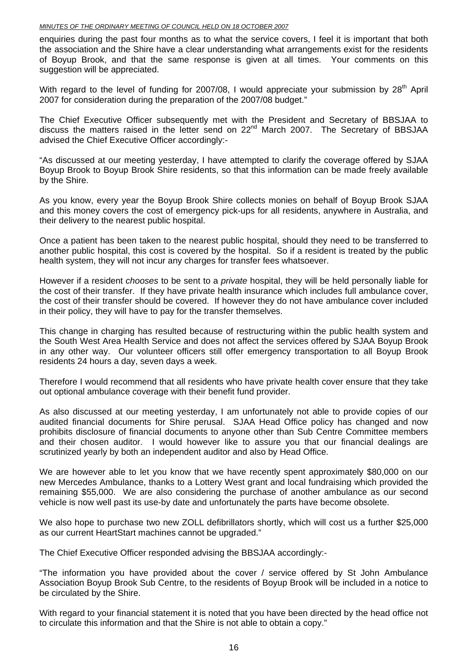enquiries during the past four months as to what the service covers, I feel it is important that both the association and the Shire have a clear understanding what arrangements exist for the residents of Boyup Brook, and that the same response is given at all times. Your comments on this suggestion will be appreciated.

With regard to the level of funding for 2007/08, I would appreciate your submission by  $28<sup>th</sup>$  April 2007 for consideration during the preparation of the 2007/08 budget."

The Chief Executive Officer subsequently met with the President and Secretary of BBSJAA to discuss the matters raised in the letter send on 22<sup>nd</sup> March 2007. The Secretary of BBSJAA advised the Chief Executive Officer accordingly:-

"As discussed at our meeting yesterday, I have attempted to clarify the coverage offered by SJAA Boyup Brook to Boyup Brook Shire residents, so that this information can be made freely available by the Shire.

As you know, every year the Boyup Brook Shire collects monies on behalf of Boyup Brook SJAA and this money covers the cost of emergency pick-ups for all residents, anywhere in Australia, and their delivery to the nearest public hospital.

Once a patient has been taken to the nearest public hospital, should they need to be transferred to another public hospital, this cost is covered by the hospital. So if a resident is treated by the public health system, they will not incur any charges for transfer fees whatsoever.

However if a resident *chooses* to be sent to a *private* hospital, they will be held personally liable for the cost of their transfer. If they have private health insurance which includes full ambulance cover, the cost of their transfer should be covered. If however they do not have ambulance cover included in their policy, they will have to pay for the transfer themselves.

This change in charging has resulted because of restructuring within the public health system and the South West Area Health Service and does not affect the services offered by SJAA Boyup Brook in any other way. Our volunteer officers still offer emergency transportation to all Boyup Brook residents 24 hours a day, seven days a week.

Therefore I would recommend that all residents who have private health cover ensure that they take out optional ambulance coverage with their benefit fund provider.

As also discussed at our meeting yesterday, I am unfortunately not able to provide copies of our audited financial documents for Shire perusal. SJAA Head Office policy has changed and now prohibits disclosure of financial documents to anyone other than Sub Centre Committee members and their chosen auditor. I would however like to assure you that our financial dealings are scrutinized yearly by both an independent auditor and also by Head Office.

We are however able to let you know that we have recently spent approximately \$80,000 on our new Mercedes Ambulance, thanks to a Lottery West grant and local fundraising which provided the remaining \$55,000. We are also considering the purchase of another ambulance as our second vehicle is now well past its use-by date and unfortunately the parts have become obsolete.

We also hope to purchase two new ZOLL defibrillators shortly, which will cost us a further \$25,000 as our current HeartStart machines cannot be upgraded."

The Chief Executive Officer responded advising the BBSJAA accordingly:-

"The information you have provided about the cover / service offered by St John Ambulance Association Boyup Brook Sub Centre, to the residents of Boyup Brook will be included in a notice to be circulated by the Shire.

With regard to your financial statement it is noted that you have been directed by the head office not to circulate this information and that the Shire is not able to obtain a copy."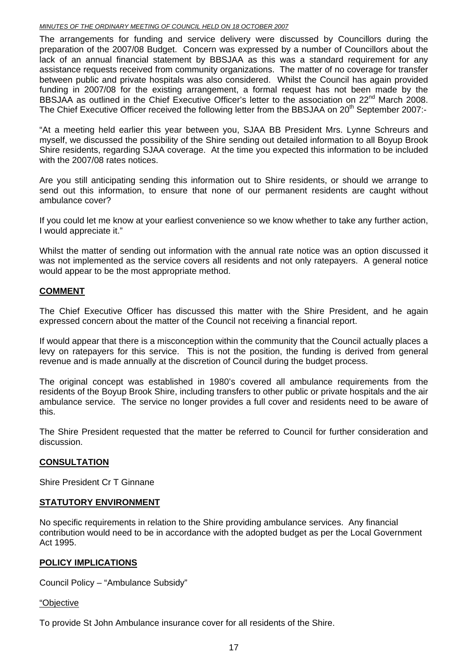The arrangements for funding and service delivery were discussed by Councillors during the preparation of the 2007/08 Budget. Concern was expressed by a number of Councillors about the lack of an annual financial statement by BBSJAA as this was a standard requirement for any assistance requests received from community organizations. The matter of no coverage for transfer between public and private hospitals was also considered. Whilst the Council has again provided funding in 2007/08 for the existing arrangement, a formal request has not been made by the BBSJAA as outlined in the Chief Executive Officer's letter to the association on 22<sup>nd</sup> March 2008. The Chief Executive Officer received the following letter from the BBSJAA on 20<sup>th</sup> September 2007:-

"At a meeting held earlier this year between you, SJAA BB President Mrs. Lynne Schreurs and myself, we discussed the possibility of the Shire sending out detailed information to all Boyup Brook Shire residents, regarding SJAA coverage. At the time you expected this information to be included with the 2007/08 rates notices.

Are you still anticipating sending this information out to Shire residents, or should we arrange to send out this information, to ensure that none of our permanent residents are caught without ambulance cover?

If you could let me know at your earliest convenience so we know whether to take any further action, I would appreciate it."

Whilst the matter of sending out information with the annual rate notice was an option discussed it was not implemented as the service covers all residents and not only ratepayers. A general notice would appear to be the most appropriate method.

#### **COMMENT**

The Chief Executive Officer has discussed this matter with the Shire President, and he again expressed concern about the matter of the Council not receiving a financial report.

If would appear that there is a misconception within the community that the Council actually places a levy on ratepayers for this service. This is not the position, the funding is derived from general revenue and is made annually at the discretion of Council during the budget process.

The original concept was established in 1980's covered all ambulance requirements from the residents of the Boyup Brook Shire, including transfers to other public or private hospitals and the air ambulance service. The service no longer provides a full cover and residents need to be aware of this.

The Shire President requested that the matter be referred to Council for further consideration and discussion.

#### **CONSULTATION**

Shire President Cr T Ginnane

#### **STATUTORY ENVIRONMENT**

No specific requirements in relation to the Shire providing ambulance services. Any financial contribution would need to be in accordance with the adopted budget as per the Local Government Act 1995.

#### **POLICY IMPLICATIONS**

Council Policy – "Ambulance Subsidy"

"Objective

To provide St John Ambulance insurance cover for all residents of the Shire.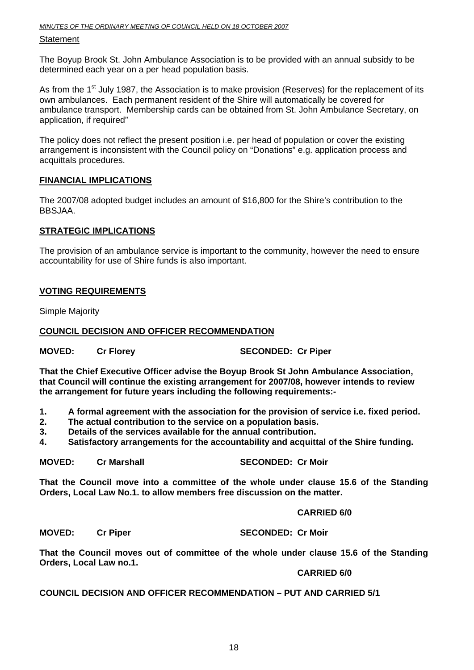#### **Statement**

The Boyup Brook St. John Ambulance Association is to be provided with an annual subsidy to be determined each year on a per head population basis.

As from the 1<sup>st</sup> July 1987, the Association is to make provision (Reserves) for the replacement of its own ambulances. Each permanent resident of the Shire will automatically be covered for ambulance transport. Membership cards can be obtained from St. John Ambulance Secretary, on application, if required"

The policy does not reflect the present position i.e. per head of population or cover the existing arrangement is inconsistent with the Council policy on "Donations" e.g. application process and acquittals procedures.

#### **FINANCIAL IMPLICATIONS**

The 2007/08 adopted budget includes an amount of \$16,800 for the Shire's contribution to the BBSJAA.

#### **STRATEGIC IMPLICATIONS**

The provision of an ambulance service is important to the community, however the need to ensure accountability for use of Shire funds is also important.

#### **VOTING REQUIREMENTS**

Simple Majority

#### **COUNCIL DECISION AND OFFICER RECOMMENDATION**

**MOVED:** Cr Florey SECONDED: Cr Piper

**That the Chief Executive Officer advise the Boyup Brook St John Ambulance Association, that Council will continue the existing arrangement for 2007/08, however intends to review the arrangement for future years including the following requirements:-** 

- **1. A formal agreement with the association for the provision of service i.e. fixed period.**
- **2. The actual contribution to the service on a population basis.**
- **3. Details of the services available for the annual contribution.**
- **4. Satisfactory arrangements for the accountability and acquittal of the Shire funding.**

#### **MOVED: Cr Marshall SECONDED: Cr Moir**

**That the Council move into a committee of the whole under clause 15.6 of the Standing Orders, Local Law No.1. to allow members free discussion on the matter.** 

#### **CARRIED 6/0**

**MOVED:** Cr Piper SECONDED: Cr Moir

**That the Council moves out of committee of the whole under clause 15.6 of the Standing Orders, Local Law no.1.** 

#### **CARRIED 6/0**

#### **COUNCIL DECISION AND OFFICER RECOMMENDATION – PUT AND CARRIED 5/1**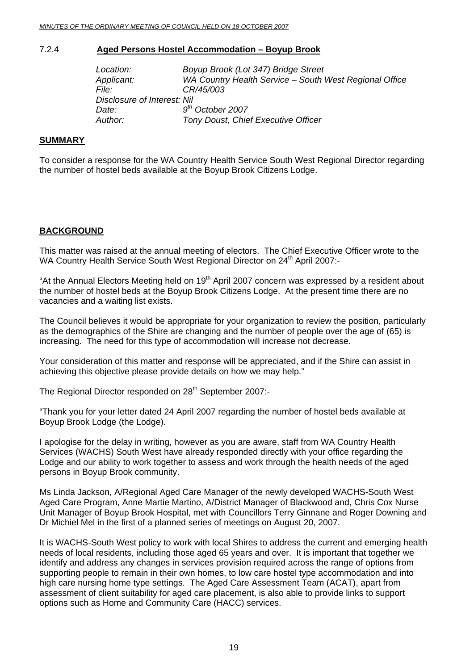#### <span id="page-18-0"></span>7.2.4 **Aged Persons Hostel Accommodation – Boyup Brook**

| Location:                   | Boyup Brook (Lot 347) Bridge Street                    |
|-----------------------------|--------------------------------------------------------|
| Applicant:                  | WA Country Health Service - South West Regional Office |
| File:                       | CR/45/003                                              |
| Disclosure of Interest: Nil |                                                        |
| Date:                       | $9th$ October 2007                                     |
| Author:                     | Tony Doust, Chief Executive Officer                    |

#### **SUMMARY**

To consider a response for the WA Country Health Service South West Regional Director regarding the number of hostel beds available at the Boyup Brook Citizens Lodge.

#### **BACKGROUND**

This matter was raised at the annual meeting of electors. The Chief Executive Officer wrote to the WA Country Health Service South West Regional Director on 24<sup>th</sup> April 2007:-

"At the Annual Electors Meeting held on 19<sup>th</sup> April 2007 concern was expressed by a resident about the number of hostel beds at the Boyup Brook Citizens Lodge. At the present time there are no vacancies and a waiting list exists.

The Council believes it would be appropriate for your organization to review the position, particularly as the demographics of the Shire are changing and the number of people over the age of (65) is increasing. The need for this type of accommodation will increase not decrease.

Your consideration of this matter and response will be appreciated, and if the Shire can assist in achieving this objective please provide details on how we may help."

The Regional Director responded on 28<sup>th</sup> September 2007:-

"Thank you for your letter dated 24 April 2007 regarding the number of hostel beds available at Boyup Brook Lodge (the Lodge).

I apologise for the delay in writing, however as you are aware, staff from WA Country Health Services (WACHS) South West have already responded directly with your office regarding the Lodge and our ability to work together to assess and work through the health needs of the aged persons in Boyup Brook community.

Ms Linda Jackson, A/Regional Aged Care Manager of the newly developed WACHS-South West Aged Care Program, Anne Martie Martino, A/District Manager of Blackwood and, Chris Cox Nurse Unit Manager of Boyup Brook Hospital, met with Councillors Terry Ginnane and Roger Downing and Dr Michiel Mel in the first of a planned series of meetings on August 20, 2007.

It is WACHS-South West policy to work with local Shires to address the current and emerging health needs of local residents, including those aged 65 years and over. It is important that together we identify and address any changes in services provision required across the range of options from supporting people to remain in their own homes, to low care hostel type accommodation and into high care nursing home type settings. The Aged Care Assessment Team (ACAT), apart from assessment of client suitability for aged care placement, is also able to provide links to support options such as Home and Community Care (HACC) services.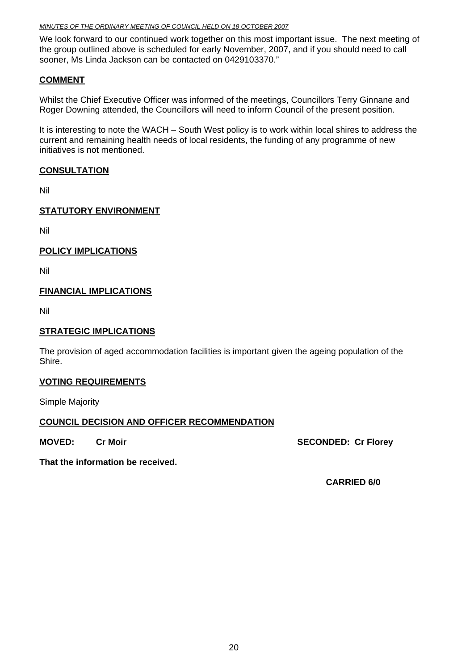We look forward to our continued work together on this most important issue. The next meeting of the group outlined above is scheduled for early November, 2007, and if you should need to call sooner, Ms Linda Jackson can be contacted on 0429103370."

#### **COMMENT**

Whilst the Chief Executive Officer was informed of the meetings, Councillors Terry Ginnane and Roger Downing attended, the Councillors will need to inform Council of the present position.

It is interesting to note the WACH – South West policy is to work within local shires to address the current and remaining health needs of local residents, the funding of any programme of new initiatives is not mentioned.

#### **CONSULTATION**

Nil

#### **STATUTORY ENVIRONMENT**

Nil

#### **POLICY IMPLICATIONS**

Nil

#### **FINANCIAL IMPLICATIONS**

Nil

#### **STRATEGIC IMPLICATIONS**

The provision of aged accommodation facilities is important given the ageing population of the Shire.

#### **VOTING REQUIREMENTS**

Simple Majority

#### **COUNCIL DECISION AND OFFICER RECOMMENDATION**

**MOVED:** Cr Moir **Cr Moir Cr Moir SECONDED:** Cr Florey

**That the information be received.** 

**CARRIED 6/0**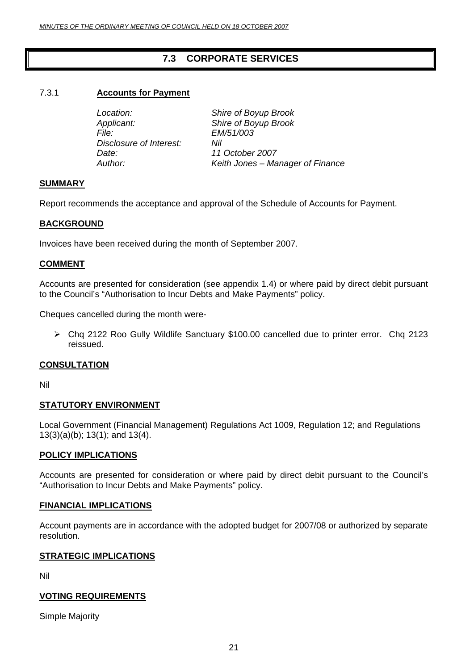#### **7.3 CORPORATE SERVICES**

#### <span id="page-20-0"></span>7.3.1 **Accounts for Payment**

 *Location: Shire of Boyup Brook Applicant: Shire of Boyup Brook File: EM/51/003 Disclosure of Interest: Nil Date: 11 October 2007* 

*Author: Keith Jones – Manager of Finance* 

#### **SUMMARY**

Report recommends the acceptance and approval of the Schedule of Accounts for Payment.

#### **BACKGROUND**

Invoices have been received during the month of September 2007.

#### **COMMENT**

Accounts are presented for consideration (see appendix 1.4) or where paid by direct debit pursuant to the Council's "Authorisation to Incur Debts and Make Payments" policy.

Cheques cancelled during the month were-

¾ Chq 2122 Roo Gully Wildlife Sanctuary \$100.00 cancelled due to printer error. Chq 2123 reissued.

#### **CONSULTATION**

Nil

#### **STATUTORY ENVIRONMENT**

Local Government (Financial Management) Regulations Act 1009, Regulation 12; and Regulations 13(3)(a)(b); 13(1); and 13(4).

#### **POLICY IMPLICATIONS**

Accounts are presented for consideration or where paid by direct debit pursuant to the Council's "Authorisation to Incur Debts and Make Payments" policy.

#### **FINANCIAL IMPLICATIONS**

Account payments are in accordance with the adopted budget for 2007/08 or authorized by separate resolution.

#### **STRATEGIC IMPLICATIONS**

Nil

#### **VOTING REQUIREMENTS**

Simple Majority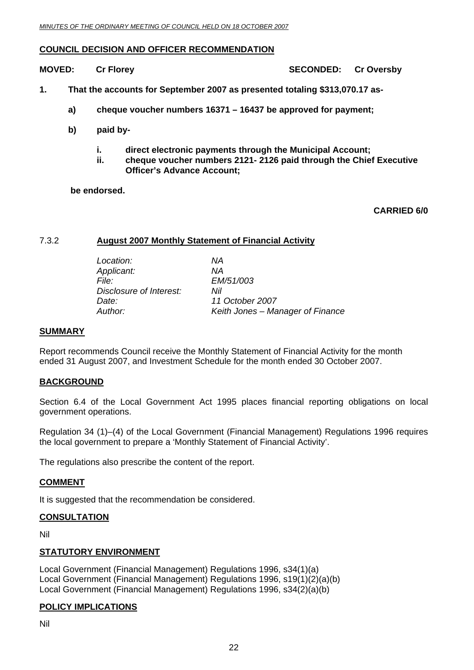#### <span id="page-21-0"></span>**COUNCIL DECISION AND OFFICER RECOMMENDATION**

**MOVED:** Cr Florey **SECONDED:** Cr Oversby

- **1. That the accounts for September 2007 as presented totaling \$313,070.17 as**
	- **a) cheque voucher numbers 16371 16437 be approved for payment;**
	- **b) paid by** 
		- **i. direct electronic payments through the Municipal Account;**
		- **ii. cheque voucher numbers 2121- 2126 paid through the Chief Executive Officer's Advance Account;**

 **be endorsed.** 

#### **CARRIED 6/0**

#### 7.3.2 **August 2007 Monthly Statement of Financial Activity**

| Keith Jones – Manager of Finance |
|----------------------------------|
|                                  |

#### **SUMMARY**

Report recommends Council receive the Monthly Statement of Financial Activity for the month ended 31 August 2007, and Investment Schedule for the month ended 30 October 2007.

#### **BACKGROUND**

Section 6.4 of the Local Government Act 1995 places financial reporting obligations on local government operations.

Regulation 34 (1)–(4) of the Local Government (Financial Management) Regulations 1996 requires the local government to prepare a 'Monthly Statement of Financial Activity'.

The regulations also prescribe the content of the report.

#### **COMMENT**

It is suggested that the recommendation be considered.

#### **CONSULTATION**

Nil

#### **STATUTORY ENVIRONMENT**

Local Government (Financial Management) Regulations 1996, s34(1)(a) Local Government (Financial Management) Regulations 1996, s19(1)(2)(a)(b) Local Government (Financial Management) Regulations 1996, s34(2)(a)(b)

#### **POLICY IMPLICATIONS**

Nil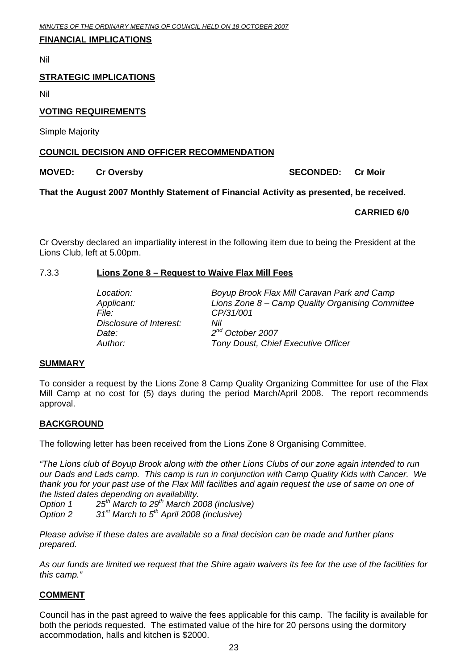#### <span id="page-22-0"></span>**FINANCIAL IMPLICATIONS**

Nil

#### **STRATEGIC IMPLICATIONS**

Nil

#### **VOTING REQUIREMENTS**

Simple Majority

#### **COUNCIL DECISION AND OFFICER RECOMMENDATION**

**MOVED:** Cr Oversby **SECONDED:** Cr Moir

#### **That the August 2007 Monthly Statement of Financial Activity as presented, be received.**

#### **CARRIED 6/0**

Cr Oversby declared an impartiality interest in the following item due to being the President at the Lions Club, left at 5.00pm.

#### 7.3.3 **Lions Zone 8 – Request to Waive Flax Mill Fees**

| Location:               | Boyup Brook Flax Mill Caravan Park and Camp      |
|-------------------------|--------------------------------------------------|
| Applicant:              | Lions Zone 8 - Camp Quality Organising Committee |
| File:                   | CP/31/001                                        |
| Disclosure of Interest: | Nil                                              |
| Date:                   | $2^{nd}$ October 2007                            |
| Author:                 | Tony Doust, Chief Executive Officer              |

#### **SUMMARY**

To consider a request by the Lions Zone 8 Camp Quality Organizing Committee for use of the Flax Mill Camp at no cost for (5) days during the period March/April 2008. The report recommends approval.

#### **BACKGROUND**

The following letter has been received from the Lions Zone 8 Organising Committee.

*"The Lions club of Boyup Brook along with the other Lions Clubs of our zone again intended to run our Dads and Lads camp. This camp is run in conjunction with Camp Quality Kids with Cancer. We thank you for your past use of the Flax Mill facilities and again request the use of same on one of the listed dates depending on availability.* 

*Option 1 25th March to 29th March 2008 (inclusive)* 

*Option 2 31st March to 5th April 2008 (inclusive)* 

*Please advise if these dates are available so a final decision can be made and further plans prepared.* 

*As our funds are limited we request that the Shire again waivers its fee for the use of the facilities for this camp."* 

#### **COMMENT**

Council has in the past agreed to waive the fees applicable for this camp. The facility is available for both the periods requested. The estimated value of the hire for 20 persons using the dormitory accommodation, halls and kitchen is \$2000.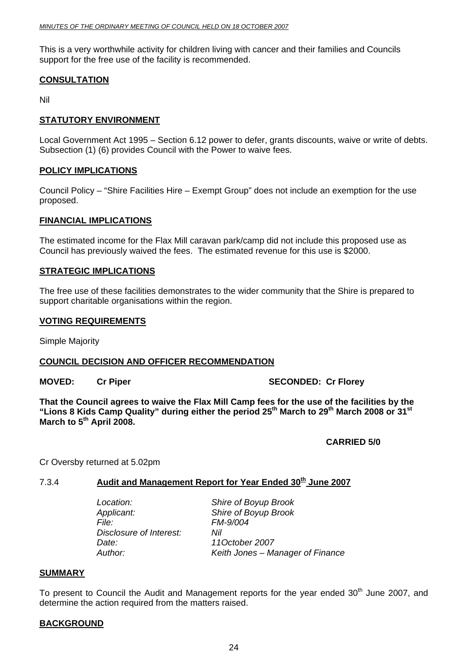<span id="page-23-0"></span>This is a very worthwhile activity for children living with cancer and their families and Councils support for the free use of the facility is recommended.

#### **CONSULTATION**

Nil

#### **STATUTORY ENVIRONMENT**

Local Government Act 1995 – Section 6.12 power to defer, grants discounts, waive or write of debts. Subsection (1) (6) provides Council with the Power to waive fees.

#### **POLICY IMPLICATIONS**

Council Policy – "Shire Facilities Hire – Exempt Group" does not include an exemption for the use proposed.

#### **FINANCIAL IMPLICATIONS**

The estimated income for the Flax Mill caravan park/camp did not include this proposed use as Council has previously waived the fees. The estimated revenue for this use is \$2000.

#### **STRATEGIC IMPLICATIONS**

The free use of these facilities demonstrates to the wider community that the Shire is prepared to support charitable organisations within the region.

#### **VOTING REQUIREMENTS**

Simple Majority

#### **COUNCIL DECISION AND OFFICER RECOMMENDATION**

**MOVED:** Cr Piper **SECONDED:** Cr Florey **SECONDED:** Cr Florey

**That the Council agrees to waive the Flax Mill Camp fees for the use of the facilities by the**  "Lions 8 Kids Camp Quality" during either the period 25<sup>th</sup> March to 29<sup>th</sup> March 2008 or 31<sup>st</sup> March to 5<sup>th</sup> April 2008.

#### **CARRIED 5/0**

Cr Oversby returned at 5.02pm

#### 7.3.4 **Audit and Management Report for Year Ended 30th June 2007**

 *Location: Shire of Boyup Brook Applicant: Shire of Boyup Brook File: FM-9/004 Disclosure of Interest: Nil Date: 11October 2007* 

*Author: Keith Jones – Manager of Finance* 

#### **SUMMARY**

To present to Council the Audit and Management reports for the year ended 30<sup>th</sup> June 2007, and determine the action required from the matters raised.

#### **BACKGROUND**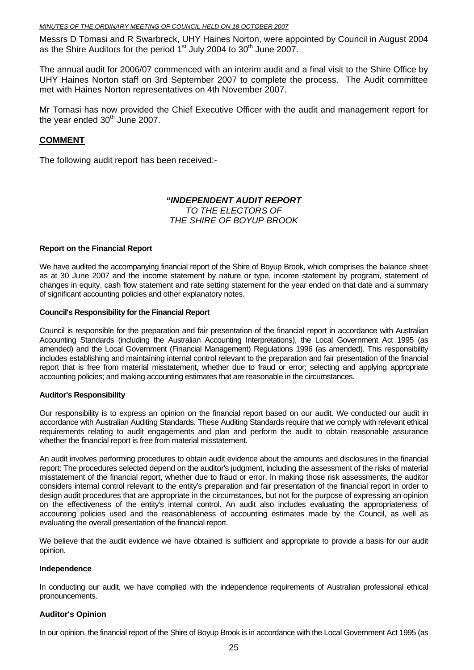Messrs D Tomasi and R Swarbreck, UHY Haines Norton, were appointed by Council in August 2004 as the Shire Auditors for the period  $1<sup>st</sup>$  July 2004 to 30<sup>th</sup> June 2007.

The annual audit for 2006/07 commenced with an interim audit and a final visit to the Shire Office by UHY Haines Norton staff on 3rd September 2007 to complete the process. The Audit committee met with Haines Norton representatives on 4th November 2007.

Mr Tomasi has now provided the Chief Executive Officer with the audit and management report for the year ended  $30<sup>th</sup>$  June 2007.

#### **COMMENT**

The following audit report has been received:-

#### *"INDEPENDENT AUDIT REPORT*

*TO THE ELECTORS OF THE SHIRE OF BOYUP BROOK* 

#### **Report on the Financial Report**

We have audited the accompanying financial report of the Shire of Boyup Brook, which comprises the balance sheet as at 30 June 2007 and the income statement by nature or type, income statement by program, statement of changes in equity, cash flow statement and rate setting statement for the year ended on that date and a summary of significant accounting policies and other explanatory notes.

#### **Council's Responsibility for the Financial Report**

Council is responsible for the preparation and fair presentation of the financial report in accordance with Australian Accounting Standards (including the Australian Accounting Interpretations), the Local Government Act 1995 (as amended) and the Local Government (Financial Management) Regulations 1996 (as amended). This responsibility includes establishing and maintaining internal control relevant to the preparation and fair presentation of the financial report that is free from material misstatement, whether due to fraud or error; selecting and applying appropriate accounting policies; and making accounting estimates that are reasonable in the circumstances.

#### **Auditor's Responsibility**

Our responsibility is to express an opinion on the financial report based on our audit. We conducted our audit in accordance with Australian Auditing Standards. These Auditing Standards require that we comply with relevant ethical requirements relating to audit engagements and plan and perform the audit to obtain reasonable assurance whether the financial report is free from material misstatement.

An audit involves performing procedures to obtain audit evidence about the amounts and disclosures in the financial report: The procedures selected depend on the auditor's judgment, including the assessment of the risks of material misstatement of the financial report, whether due to fraud or error. In making those risk assessments, the auditor considers internal control relevant to the entity's preparation and fair presentation of the financial report in order to design audit procedures that are appropriate in the circumstances, but not for the purpose of expressing an opinion on the effectiveness of the entity's internal control. An audit also includes evaluating the appropriateness of accounting policies used and the reasonableness of accounting estimates made by the Council, as well as evaluating the overall presentation of the financial report.

We believe that the audit evidence we have obtained is sufficient and appropriate to provide a basis for our audit opinion.

#### **Independence**

In conducting our audit, we have complied with the independence requirements of Australian professional ethical pronouncements.

#### **Auditor's Opinion**

In our opinion, the financial report of the Shire of Boyup Brook is in accordance with the Local Government Act 1995 (as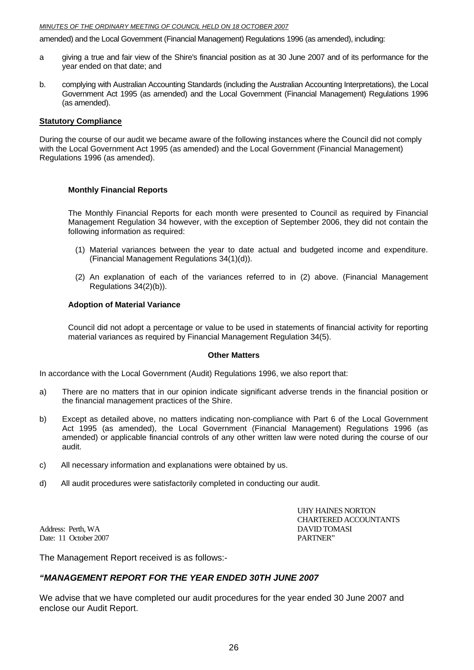amended) and the Local Government (Financial Management) Regulations 1996 (as amended), including:

- a giving a true and fair view of the Shire's financial position as at 30 June 2007 and of its performance for the year ended on that date; and
- b. complying with Australian Accounting Standards (including the Australian Accounting Interpretations), the Local Government Act 1995 (as amended) and the Local Government (Financial Management) Regulations 1996 (as amended).

#### **Statutory Compliance**

During the course of our audit we became aware of the following instances where the Council did not comply with the Local Government Act 1995 (as amended) and the Local Government (Financial Management) Regulations 1996 (as amended).

#### **Monthly Financial Reports**

The Monthly Financial Reports for each month were presented to Council as required by Financial Management Regulation 34 however, with the exception of September 2006, they did not contain the following information as required:

- (1) Material variances between the year to date actual and budgeted income and expenditure. (Financial Management Regulations 34(1)(d)).
- (2) An explanation of each of the variances referred to in (2) above. (Financial Management Regulations 34(2)(b)).

#### **Adoption of Material Variance**

Council did not adopt a percentage or value to be used in statements of financial activity for reporting material variances as required by Financial Management Regulation 34(5).

#### **Other Matters**

In accordance with the Local Government (Audit) Regulations 1996, we also report that:

- a) There are no matters that in our opinion indicate significant adverse trends in the financial position or the financial management practices of the Shire.
- b) Except as detailed above, no matters indicating non-compliance with Part 6 of the Local Government Act 1995 (as amended), the Local Government (Financial Management) Regulations 1996 (as amended) or applicable financial controls of any other written law were noted during the course of our audit.
- c) All necessary information and explanations were obtained by us.
- d) All audit procedures were satisfactorily completed in conducting our audit.

Address: Perth, WA DAVID TOMASI Date: 11 October 2007 **PARTNER**"

 UHY HAINES NORTON CHARTERED ACCOUNTANTS

The Management Report received is as follows:-

#### *"MANAGEMENT REPORT FOR THE YEAR ENDED 30TH JUNE 2007*

We advise that we have completed our audit procedures for the year ended 30 June 2007 and enclose our Audit Report.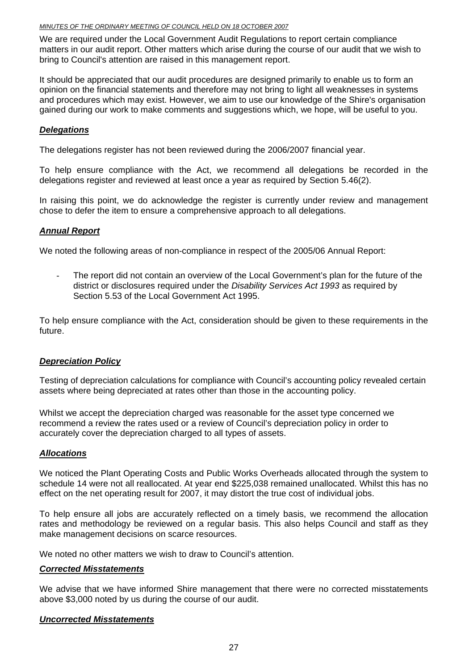We are required under the Local Government Audit Regulations to report certain compliance matters in our audit report. Other matters which arise during the course of our audit that we wish to bring to Council's attention are raised in this management report.

It should be appreciated that our audit procedures are designed primarily to enable us to form an opinion on the financial statements and therefore may not bring to light all weaknesses in systems and procedures which may exist. However, we aim to use our knowledge of the Shire's organisation gained during our work to make comments and suggestions which, we hope, will be useful to you.

#### *Delegations*

The delegations register has not been reviewed during the 2006/2007 financial year.

To help ensure compliance with the Act, we recommend all delegations be recorded in the delegations register and reviewed at least once a year as required by Section 5.46(2).

In raising this point, we do acknowledge the register is currently under review and management chose to defer the item to ensure a comprehensive approach to all delegations.

#### *Annual Report*

We noted the following areas of non-compliance in respect of the 2005/06 Annual Report:

The report did not contain an overview of the Local Government's plan for the future of the district or disclosures required under the *Disability Services Act 1993* as required by Section 5.53 of the Local Government Act 1995.

To help ensure compliance with the Act, consideration should be given to these requirements in the future.

#### *Depreciation Policy*

Testing of depreciation calculations for compliance with Council's accounting policy revealed certain assets where being depreciated at rates other than those in the accounting policy.

Whilst we accept the depreciation charged was reasonable for the asset type concerned we recommend a review the rates used or a review of Council's depreciation policy in order to accurately cover the depreciation charged to all types of assets.

#### *Allocations*

We noticed the Plant Operating Costs and Public Works Overheads allocated through the system to schedule 14 were not all reallocated. At year end \$225,038 remained unallocated. Whilst this has no effect on the net operating result for 2007, it may distort the true cost of individual jobs.

To help ensure all jobs are accurately reflected on a timely basis, we recommend the allocation rates and methodology be reviewed on a regular basis. This also helps Council and staff as they make management decisions on scarce resources.

We noted no other matters we wish to draw to Council's attention.

#### *Corrected Misstatements*

We advise that we have informed Shire management that there were no corrected misstatements above \$3,000 noted by us during the course of our audit.

#### *Uncorrected Misstatements*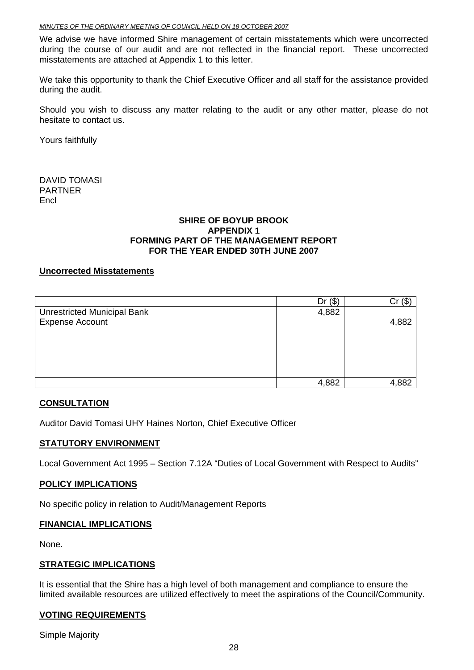We advise we have informed Shire management of certain misstatements which were uncorrected during the course of our audit and are not reflected in the financial report. These uncorrected misstatements are attached at Appendix 1 to this letter.

We take this opportunity to thank the Chief Executive Officer and all staff for the assistance provided during the audit.

Should you wish to discuss any matter relating to the audit or any other matter, please do not hesitate to contact us.

Yours faithfully

DAVID TOMASI PARTNER Encl

#### **SHIRE OF BOYUP BROOK APPENDIX 1 FORMING PART OF THE MANAGEMENT REPORT FOR THE YEAR ENDED 30TH JUNE 2007**

#### **Uncorrected Misstatements**

|                                    | Dr(\$) |       |
|------------------------------------|--------|-------|
| <b>Unrestricted Municipal Bank</b> | 4,882  |       |
| <b>Expense Account</b>             |        | 4,882 |
|                                    |        |       |
|                                    |        |       |
|                                    |        |       |
|                                    |        |       |
|                                    |        |       |
|                                    | 4,882  | 4 882 |

#### **CONSULTATION**

Auditor David Tomasi UHY Haines Norton, Chief Executive Officer

#### **STATUTORY ENVIRONMENT**

Local Government Act 1995 – Section 7.12A "Duties of Local Government with Respect to Audits"

#### **POLICY IMPLICATIONS**

No specific policy in relation to Audit/Management Reports

#### **FINANCIAL IMPLICATIONS**

None.

#### **STRATEGIC IMPLICATIONS**

It is essential that the Shire has a high level of both management and compliance to ensure the limited available resources are utilized effectively to meet the aspirations of the Council/Community.

#### **VOTING REQUIREMENTS**

Simple Majority